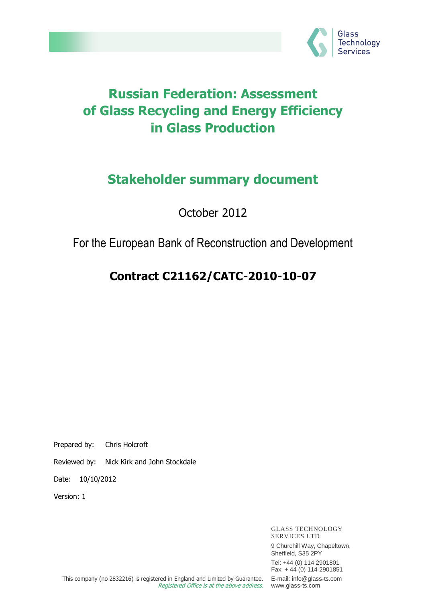

# **Russian Federation: Assessment of Glass Recycling and Energy Efficiency in Glass Production**

# **Stakeholder summary document**

October 2012

## For the European Bank of Reconstruction and Development

# **Contract C21162/CATC-2010-10-07**

Prepared by: Chris Holcroft

Reviewed by: Nick Kirk and John Stockdale

Date: 10/10/2012

Version: 1

GLASS TECHNOLOGY SERVICES LTD 9 Churchill Way, Chapeltown, Sheffield, S35 2PY Tel: +44 (0) 114 2901801 Fax: + 44 (0) 114 2901851 E-mail: info@glass-ts.com www.glass-ts.com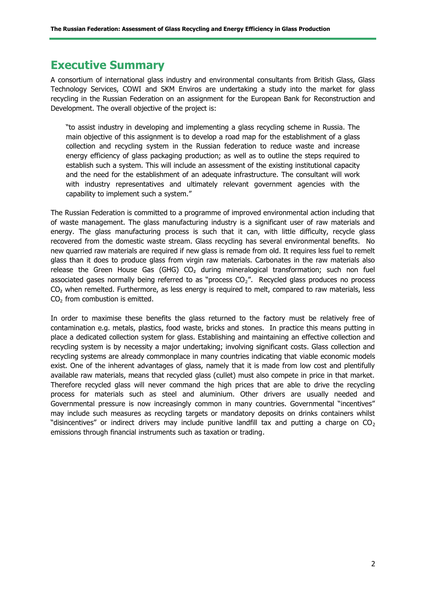## **Executive Summary**

A consortium of international glass industry and environmental consultants from British Glass, Glass Technology Services, COWI and SKM Enviros are undertaking a study into the market for glass recycling in the Russian Federation on an assignment for the European Bank for Reconstruction and Development. The overall objective of the project is:

"to assist industry in developing and implementing a glass recycling scheme in Russia. The main objective of this assignment is to develop a road map for the establishment of a glass collection and recycling system in the Russian federation to reduce waste and increase energy efficiency of glass packaging production; as well as to outline the steps required to establish such a system. This will include an assessment of the existing institutional capacity and the need for the establishment of an adequate infrastructure. The consultant will work with industry representatives and ultimately relevant government agencies with the capability to implement such a system."

The Russian Federation is committed to a programme of improved environmental action including that of waste management. The glass manufacturing industry is a significant user of raw materials and energy. The glass manufacturing process is such that it can, with little difficulty, recycle glass recovered from the domestic waste stream. Glass recycling has several environmental benefits. No new quarried raw materials are required if new glass is remade from old. It requires less fuel to remelt glass than it does to produce glass from virgin raw materials. Carbonates in the raw materials also release the Green House Gas (GHG) CO<sub>2</sub> during mineralogical transformation; such non fuel associated gases normally being referred to as "process  $CO<sub>2</sub>$ ". Recycled glass produces no process CO<sub>2</sub> when remelted. Furthermore, as less energy is required to melt, compared to raw materials, less CO<sub>2</sub> from combustion is emitted.

In order to maximise these benefits the glass returned to the factory must be relatively free of contamination e.g. metals, plastics, food waste, bricks and stones. In practice this means putting in place a dedicated collection system for glass. Establishing and maintaining an effective collection and recycling system is by necessity a major undertaking; involving significant costs. Glass collection and recycling systems are already commonplace in many countries indicating that viable economic models exist. One of the inherent advantages of glass, namely that it is made from low cost and plentifully available raw materials, means that recycled glass (cullet) must also compete in price in that market. Therefore recycled glass will never command the high prices that are able to drive the recycling process for materials such as steel and aluminium. Other drivers are usually needed and Governmental pressure is now increasingly common in many countries. Governmental "incentives" may include such measures as recycling targets or mandatory deposits on drinks containers whilst "disincentives" or indirect drivers may include punitive landfill tax and putting a charge on  $CO<sub>2</sub>$ emissions through financial instruments such as taxation or trading.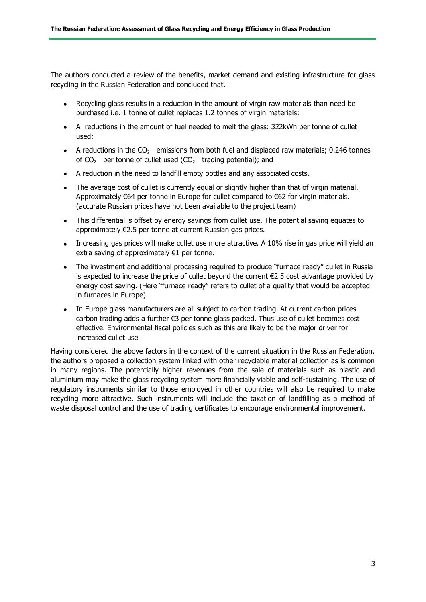The authors conducted a review of the benefits, market demand and existing infrastructure for glass recycling in the Russian Federation and concluded that.

- $\bullet$ Recycling glass results in a reduction in the amount of virgin raw materials than need be purchased i.e. 1 tonne of cullet replaces 1.2 tonnes of virgin materials;
- A reductions in the amount of fuel needed to melt the glass: 322kWh per tonne of cullet used;
- A reductions in the  $CO<sub>2</sub>$  emissions from both fuel and displaced raw materials; 0.246 tonnes of  $CO<sub>2</sub>$  per tonne of cullet used ( $CO<sub>2</sub>$  trading potential); and
- A reduction in the need to landfill empty bottles and any associated costs.
- The average cost of cullet is currently equal or slightly higher than that of virgin material. Approximately  $\epsilon$ 64 per tonne in Europe for cullet compared to  $\epsilon$ 62 for virgin materials. (accurate Russian prices have not been available to the project team)
- This differential is offset by energy savings from cullet use. The potential saving equates to approximately €2.5 per tonne at current Russian gas prices.
- Increasing gas prices will make cullet use more attractive. A 10% rise in gas price will yield an extra saving of approximately €1 per tonne.
- The investment and additional processing required to produce "furnace ready" cullet in Russia is expected to increase the price of cullet beyond the current  $\epsilon$ 2.5 cost advantage provided by energy cost saving. (Here "furnace ready" refers to cullet of a quality that would be accepted in furnaces in Europe).
- In Europe glass manufacturers are all subject to carbon trading. At current carbon prices carbon trading adds a further €3 per tonne glass packed. Thus use of cullet becomes cost effective. Environmental fiscal policies such as this are likely to be the major driver for increased cullet use

Having considered the above factors in the context of the current situation in the Russian Federation, the authors proposed a collection system linked with other recyclable material collection as is common in many regions. The potentially higher revenues from the sale of materials such as plastic and aluminium may make the glass recycling system more financially viable and self-sustaining. The use of regulatory instruments similar to those employed in other countries will also be required to make recycling more attractive. Such instruments will include the taxation of landfilling as a method of waste disposal control and the use of trading certificates to encourage environmental improvement.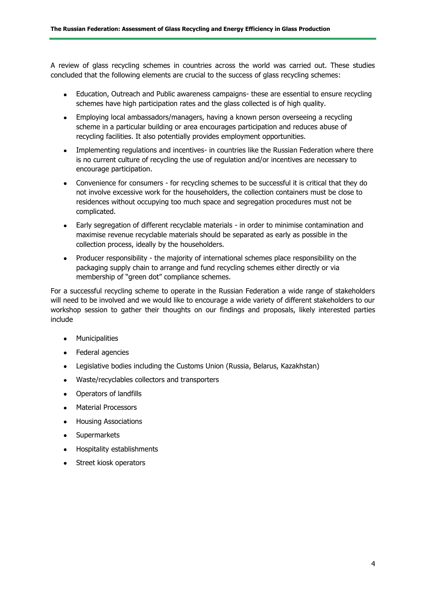A review of glass recycling schemes in countries across the world was carried out. These studies concluded that the following elements are crucial to the success of glass recycling schemes:

- Education, Outreach and Public awareness campaigns- these are essential to ensure recycling  $\bullet$  . schemes have high participation rates and the glass collected is of high quality.
- Employing local ambassadors/managers, having a known person overseeing a recycling scheme in a particular building or area encourages participation and reduces abuse of recycling facilities. It also potentially provides employment opportunities.
- Implementing regulations and incentives- in countries like the Russian Federation where there is no current culture of recycling the use of regulation and/or incentives are necessary to encourage participation.
- Convenience for consumers for recycling schemes to be successful it is critical that they do not involve excessive work for the householders, the collection containers must be close to residences without occupying too much space and segregation procedures must not be complicated.
- Early segregation of different recyclable materials in order to minimise contamination and maximise revenue recyclable materials should be separated as early as possible in the collection process, ideally by the householders.
- Producer responsibility the majority of international schemes place responsibility on the packaging supply chain to arrange and fund recycling schemes either directly or via membership of "green dot" compliance schemes.

For a successful recycling scheme to operate in the Russian Federation a wide range of stakeholders will need to be involved and we would like to encourage a wide variety of different stakeholders to our workshop session to gather their thoughts on our findings and proposals, likely interested parties include

- **•** Municipalities
- Federal agencies
- Legislative bodies including the Customs Union (Russia, Belarus, Kazakhstan)  $\bullet$
- Waste/recyclables collectors and transporters  $\bullet$
- $\bullet$ Operators of landfills
- Material Processors  $\bullet$
- $\bullet$ Housing Associations
- Supermarkets
- Hospitality establishments
- Street kiosk operators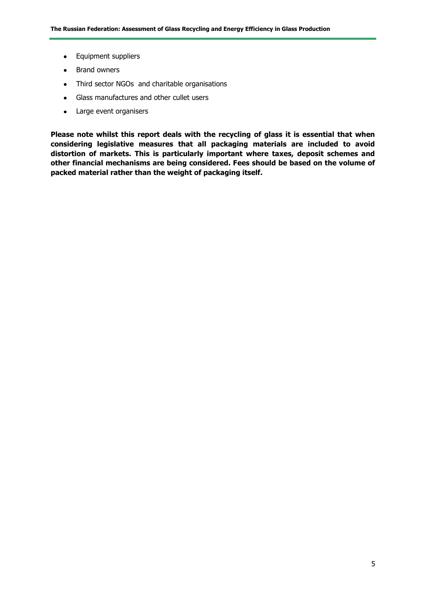- Equipment suppliers
- Brand owners
- Third sector NGOs and charitable organisations
- Glass manufactures and other cullet users
- Large event organisers

**Please note whilst this report deals with the recycling of glass it is essential that when considering legislative measures that all packaging materials are included to avoid distortion of markets. This is particularly important where taxes, deposit schemes and other financial mechanisms are being considered. Fees should be based on the volume of packed material rather than the weight of packaging itself.**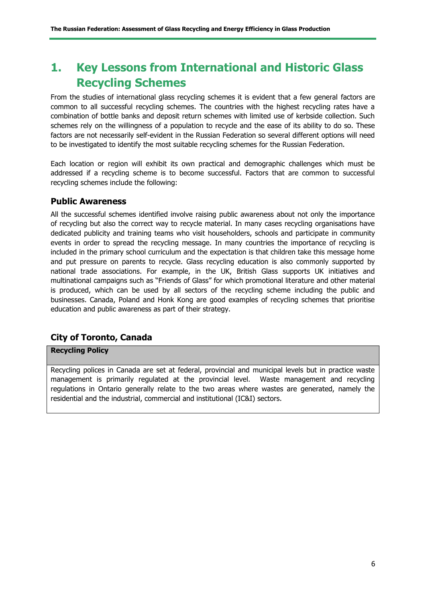## **1. Key Lessons from International and Historic Glass Recycling Schemes**

From the studies of international glass recycling schemes it is evident that a few general factors are common to all successful recycling schemes. The countries with the highest recycling rates have a combination of bottle banks and deposit return schemes with limited use of kerbside collection. Such schemes rely on the willingness of a population to recycle and the ease of its ability to do so. These factors are not necessarily self-evident in the Russian Federation so several different options will need to be investigated to identify the most suitable recycling schemes for the Russian Federation.

Each location or region will exhibit its own practical and demographic challenges which must be addressed if a recycling scheme is to become successful. Factors that are common to successful recycling schemes include the following:

#### **Public Awareness**

All the successful schemes identified involve raising public awareness about not only the importance of recycling but also the correct way to recycle material. In many cases recycling organisations have dedicated publicity and training teams who visit householders, schools and participate in community events in order to spread the recycling message. In many countries the importance of recycling is included in the primary school curriculum and the expectation is that children take this message home and put pressure on parents to recycle. Glass recycling education is also commonly supported by national trade associations. For example, in the UK, British Glass supports UK initiatives and multinational campaigns such as "Friends of Glass" for which promotional literature and other material is produced, which can be used by all sectors of the recycling scheme including the public and businesses. Canada, Poland and Honk Kong are good examples of recycling schemes that prioritise education and public awareness as part of their strategy.

## **City of Toronto, Canada**

#### **Recycling Policy**

Recycling polices in Canada are set at federal, provincial and municipal levels but in practice waste management is primarily regulated at the provincial level. Waste management and recycling regulations in Ontario generally relate to the two areas where wastes are generated, namely the residential and the industrial, commercial and institutional (IC&I) sectors.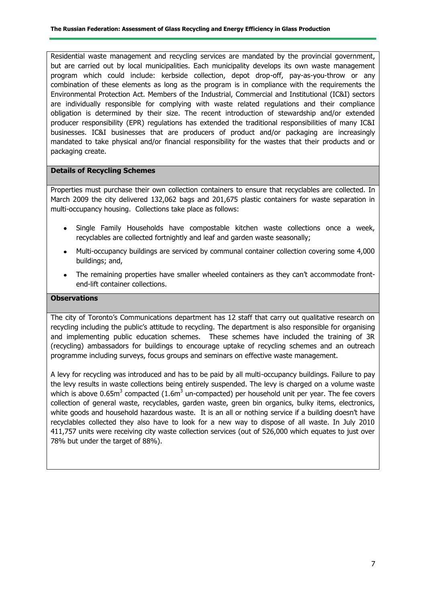Residential waste management and recycling services are mandated by the provincial government, but are carried out by local municipalities. Each municipality develops its own waste management program which could include: kerbside collection, depot drop-off, pay-as-you-throw or any combination of these elements as long as the program is in compliance with the requirements the Environmental Protection Act. Members of the Industrial, Commercial and Institutional (IC&I) sectors are individually responsible for complying with waste related regulations and their compliance obligation is determined by their size. The recent introduction of stewardship and/or extended producer responsibility (EPR) regulations has extended the traditional responsibilities of many IC&I businesses. IC&I businesses that are producers of product and/or packaging are increasingly mandated to take physical and/or financial responsibility for the wastes that their products and or packaging create.

#### **Details of Recycling Schemes**

Properties must purchase their own collection containers to ensure that recyclables are collected. In March 2009 the city delivered 132,062 bags and 201,675 plastic containers for waste separation in multi-occupancy housing. Collections take place as follows:

- Single Family Households have compostable kitchen waste collections once a week, recyclables are collected fortnightly and leaf and garden waste seasonally;
- Multi-occupancy buildings are serviced by communal container collection covering some 4,000 buildings; and,
- The remaining properties have smaller wheeled containers as they can't accommodate frontend-lift container collections.

#### **Observations**

The city of Toronto's Communications department has 12 staff that carry out qualitative research on recycling including the public's attitude to recycling. The department is also responsible for organising and implementing public education schemes. These schemes have included the training of 3R (recycling) ambassadors for buildings to encourage uptake of recycling schemes and an outreach programme including surveys, focus groups and seminars on effective waste management.

A levy for recycling was introduced and has to be paid by all multi-occupancy buildings. Failure to pay the levy results in waste collections being entirely suspended. The levy is charged on a volume waste which is above 0.65m<sup>3</sup> compacted (1.6m<sup>3</sup> un-compacted) per household unit per year. The fee covers collection of general waste, recyclables, garden waste, green bin organics, bulky items, electronics, white goods and household hazardous waste. It is an all or nothing service if a building doesn't have recyclables collected they also have to look for a new way to dispose of all waste. In July 2010 411,757 units were receiving city waste collection services (out of 526,000 which equates to just over 78% but under the target of 88%).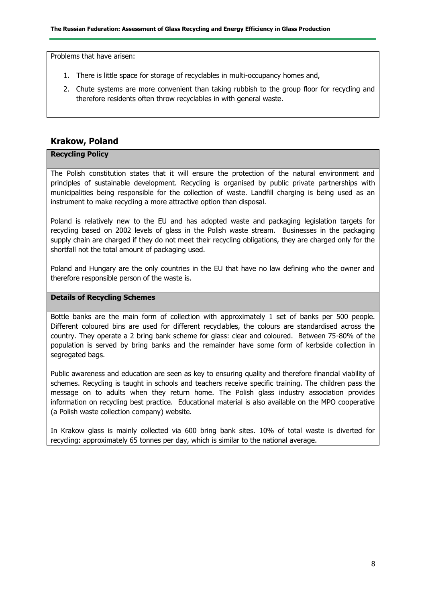Problems that have arisen:

- 1. There is little space for storage of recyclables in multi-occupancy homes and,
- 2. Chute systems are more convenient than taking rubbish to the group floor for recycling and therefore residents often throw recyclables in with general waste.

### **Krakow, Poland**

#### **Recycling Policy**

The Polish constitution states that it will ensure the protection of the natural environment and principles of sustainable development. Recycling is organised by public private partnerships with municipalities being responsible for the collection of waste. Landfill charging is being used as an instrument to make recycling a more attractive option than disposal.

Poland is relatively new to the EU and has adopted waste and packaging legislation targets for recycling based on 2002 levels of glass in the Polish waste stream. Businesses in the packaging supply chain are charged if they do not meet their recycling obligations, they are charged only for the shortfall not the total amount of packaging used.

Poland and Hungary are the only countries in the EU that have no law defining who the owner and therefore responsible person of the waste is.

#### **Details of Recycling Schemes**

Bottle banks are the main form of collection with approximately 1 set of banks per 500 people. Different coloured bins are used for different recyclables, the colours are standardised across the country. They operate a 2 bring bank scheme for glass: clear and coloured. Between 75-80% of the population is served by bring banks and the remainder have some form of kerbside collection in segregated bags.

Public awareness and education are seen as key to ensuring quality and therefore financial viability of schemes. Recycling is taught in schools and teachers receive specific training. The children pass the message on to adults when they return home. The Polish glass industry association provides information on recycling best practice. Educational material is also available on the MPO cooperative (a Polish waste collection company) website.

In Krakow glass is mainly collected via 600 bring bank sites. 10% of total waste is diverted for recycling: approximately 65 tonnes per day, which is similar to the national average.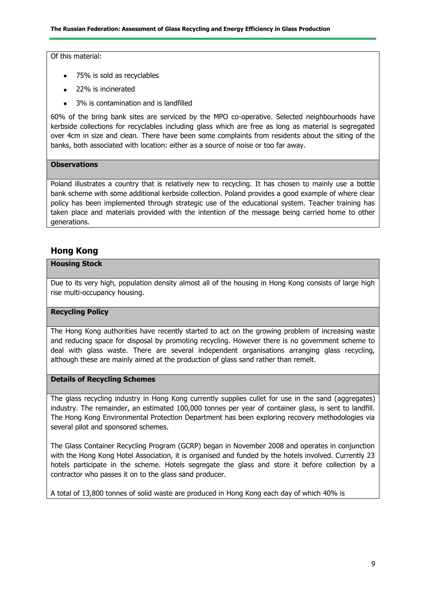Of this material:

- 75% is sold as recyclables
- 22% is incinerated
- 3% is contamination and is landfilled  $\bullet$

60% of the bring bank sites are serviced by the MPO co-operative. Selected neighbourhoods have kerbside collections for recyclables including glass which are free as long as material is segregated over 4cm in size and clean. There have been some complaints from residents about the siting of the banks, both associated with location: either as a source of noise or too far away.

#### **Observations**

Poland illustrates a country that is relatively new to recycling. It has chosen to mainly use a bottle bank scheme with some additional kerbside collection. Poland provides a good example of where clear policy has been implemented through strategic use of the educational system. Teacher training has taken place and materials provided with the intention of the message being carried home to other generations.

## **Hong Kong**

#### **Housing Stock**

Due to its very high, population density almost all of the housing in Hong Kong consists of large high rise multi-occupancy housing.

#### **Recycling Policy**

The Hong Kong authorities have recently started to act on the growing problem of increasing waste and reducing space for disposal by promoting recycling. However there is no government scheme to deal with glass waste. There are several independent organisations arranging glass recycling, although these are mainly aimed at the production of glass sand rather than remelt.

#### **Details of Recycling Schemes**

The glass recycling industry in Hong Kong currently supplies cullet for use in the sand (aggregates) industry. The remainder, an estimated 100,000 tonnes per year of container glass, is sent to landfill. The Hong Kong Environmental Protection Department has been exploring recovery methodologies via several pilot and sponsored schemes.

The Glass Container Recycling Program (GCRP) began in November 2008 and operates in conjunction with the Hong Kong Hotel Association, it is organised and funded by the hotels involved. Currently 23 hotels participate in the scheme. Hotels segregate the glass and store it before collection by a contractor who passes it on to the glass sand producer.

A total of 13,800 tonnes of solid waste are produced in Hong Kong each day of which 40% is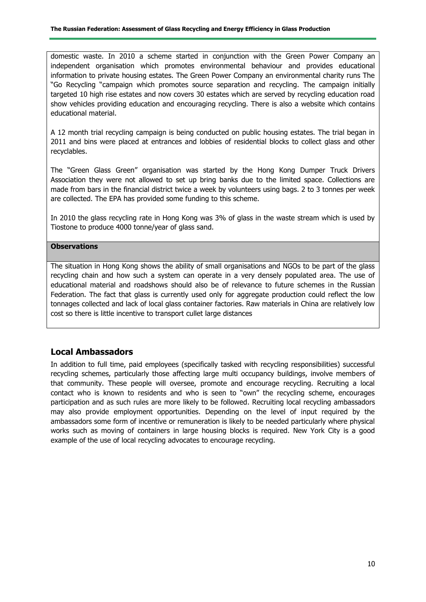domestic waste. In 2010 a scheme started in conjunction with the Green Power Company an independent organisation which promotes environmental behaviour and provides educational information to private housing estates. The Green Power Company an environmental charity runs The "Go Recycling "campaign which promotes source separation and recycling. The campaign initially targeted 10 high rise estates and now covers 30 estates which are served by recycling education road show vehicles providing education and encouraging recycling. There is also a website which contains educational material.

A 12 month trial recycling campaign is being conducted on public housing estates. The trial began in 2011 and bins were placed at entrances and lobbies of residential blocks to collect glass and other recyclables.

The "Green Glass Green" organisation was started by the Hong Kong Dumper Truck Drivers Association they were not allowed to set up bring banks due to the limited space. Collections are made from bars in the financial district twice a week by volunteers using bags. 2 to 3 tonnes per week are collected. The EPA has provided some funding to this scheme.

In 2010 the glass recycling rate in Hong Kong was 3% of glass in the waste stream which is used by Tiostone to produce 4000 tonne/year of glass sand.

#### **Observations**

The situation in Hong Kong shows the ability of small organisations and NGOs to be part of the glass recycling chain and how such a system can operate in a very densely populated area. The use of educational material and roadshows should also be of relevance to future schemes in the Russian Federation. The fact that glass is currently used only for aggregate production could reflect the low tonnages collected and lack of local glass container factories. Raw materials in China are relatively low cost so there is little incentive to transport cullet large distances

### **Local Ambassadors**

In addition to full time, paid employees (specifically tasked with recycling responsibilities) successful recycling schemes, particularly those affecting large multi occupancy buildings, involve members of that community. These people will oversee, promote and encourage recycling. Recruiting a local contact who is known to residents and who is seen to "own" the recycling scheme, encourages participation and as such rules are more likely to be followed. Recruiting local recycling ambassadors may also provide employment opportunities. Depending on the level of input required by the ambassadors some form of incentive or remuneration is likely to be needed particularly where physical works such as moving of containers in large housing blocks is required. New York City is a good example of the use of local recycling advocates to encourage recycling.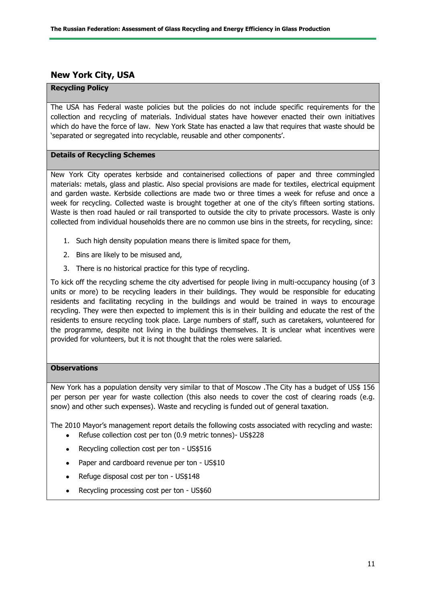## **New York City, USA**

#### **Recycling Policy**

The USA has Federal waste policies but the policies do not include specific requirements for the collection and recycling of materials. Individual states have however enacted their own initiatives which do have the force of law. New York State has enacted a law that requires that waste should be 'separated or segregated into recyclable, reusable and other components'.

#### **Details of Recycling Schemes**

New York City operates kerbside and containerised collections of paper and three commingled materials: metals, glass and plastic. Also special provisions are made for textiles, electrical equipment and garden waste. Kerbside collections are made two or three times a week for refuse and once a week for recycling. Collected waste is brought together at one of the city's fifteen sorting stations. Waste is then road hauled or rail transported to outside the city to private processors. Waste is only collected from individual households there are no common use bins in the streets, for recycling, since:

- 1. Such high density population means there is limited space for them,
- 2. Bins are likely to be misused and,
- 3. There is no historical practice for this type of recycling.

To kick off the recycling scheme the city advertised for people living in multi-occupancy housing (of 3 units or more) to be recycling leaders in their buildings. They would be responsible for educating residents and facilitating recycling in the buildings and would be trained in ways to encourage recycling. They were then expected to implement this is in their building and educate the rest of the residents to ensure recycling took place. Large numbers of staff, such as caretakers, volunteered for the programme, despite not living in the buildings themselves. It is unclear what incentives were provided for volunteers, but it is not thought that the roles were salaried.

#### **Observations**

New York has a population density very similar to that of Moscow .The City has a budget of US\$ 156 per person per year for waste collection (this also needs to cover the cost of clearing roads (e.g. snow) and other such expenses). Waste and recycling is funded out of general taxation.

The 2010 Mayor's management report details the following costs associated with recycling and waste: Refuse collection cost per ton (0.9 metric tonnes)- US\$228  $\bullet$ 

- Recycling collection cost per ton US\$516
- Paper and cardboard revenue per ton US\$10  $\bullet$
- Refuge disposal cost per ton US\$148  $\bullet$
- Recycling processing cost per ton US\$60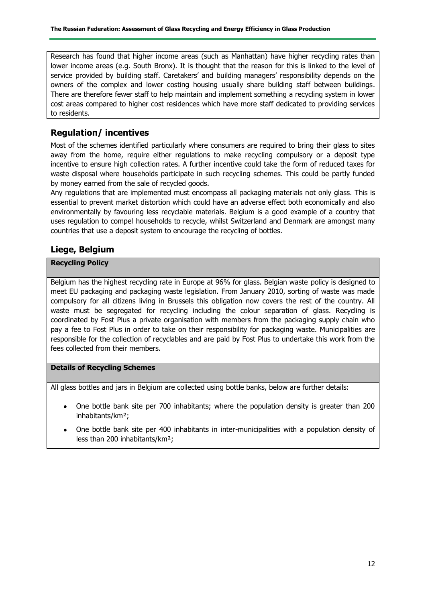Research has found that higher income areas (such as Manhattan) have higher recycling rates than lower income areas (e.g. South Bronx). It is thought that the reason for this is linked to the level of service provided by building staff. Caretakers' and building managers' responsibility depends on the owners of the complex and lower costing housing usually share building staff between buildings. There are therefore fewer staff to help maintain and implement something a recycling system in lower cost areas compared to higher cost residences which have more staff dedicated to providing services to residents.

## **Regulation/ incentives**

Most of the schemes identified particularly where consumers are required to bring their glass to sites away from the home, require either regulations to make recycling compulsory or a deposit type incentive to ensure high collection rates. A further incentive could take the form of reduced taxes for waste disposal where households participate in such recycling schemes. This could be partly funded by money earned from the sale of recycled goods.

Any regulations that are implemented must encompass all packaging materials not only glass. This is essential to prevent market distortion which could have an adverse effect both economically and also environmentally by favouring less recyclable materials. Belgium is a good example of a country that uses regulation to compel households to recycle, whilst Switzerland and Denmark are amongst many countries that use a deposit system to encourage the recycling of bottles.

## **Liege, Belgium**

#### **Recycling Policy**

Belgium has the highest recycling rate in Europe at 96% for glass. Belgian waste policy is designed to meet EU packaging and packaging waste legislation. From January 2010, sorting of waste was made compulsory for all citizens living in Brussels this obligation now covers the rest of the country. All waste must be segregated for recycling including the colour separation of glass. Recycling is coordinated by Fost Plus a private organisation with members from the packaging supply chain who pay a fee to Fost Plus in order to take on their responsibility for packaging waste. Municipalities are responsible for the collection of recyclables and are paid by Fost Plus to undertake this work from the fees collected from their members.

#### **Details of Recycling Schemes**

All glass bottles and jars in Belgium are collected using bottle banks, below are further details:

- One bottle bank site per 700 inhabitants; where the population density is greater than 200 inhabitants/km²;
- One bottle bank site per 400 inhabitants in inter-municipalities with a population density of less than 200 inhabitants/km²;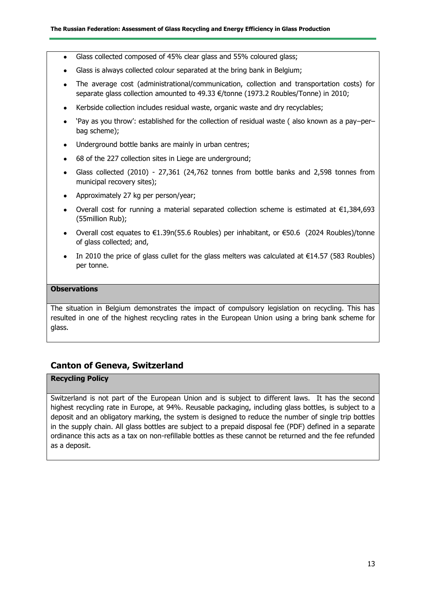- Glass collected composed of 45% clear glass and 55% coloured glass;  $\bullet$
- Glass is always collected colour separated at the bring bank in Belgium;  $\bullet$
- The average cost (administrational/communication, collection and transportation costs) for separate glass collection amounted to 49.33 €/tonne (1973.2 Roubles/Tonne) in 2010;
- Kerbside collection includes residual waste, organic waste and dry recyclables;
- 'Pay as you throw': established for the collection of residual waste ( also known as a pay–per– bag scheme);
- Underground bottle banks are mainly in urban centres;
- 68 of the 227 collection sites in Liege are underground;  $\bullet$
- Glass collected (2010) 27,361 (24,762 tonnes from bottle banks and 2,598 tonnes from municipal recovery sites);
- Approximately 27 kg per person/year;
- Overall cost for running a material separated collection scheme is estimated at €1,384,693 (55million Rub);
- Overall cost equates to  $€1.39n(55.6$  Roubles) per inhabitant, or  $€50.6$  (2024 Roubles)/tonne of glass collected; and,
- In 2010 the price of glass cullet for the glass melters was calculated at  $\epsilon$ 14.57 (583 Roubles)  $\bullet$ per tonne.

#### **Observations**

The situation in Belgium demonstrates the impact of compulsory legislation on recycling. This has resulted in one of the highest recycling rates in the European Union using a bring bank scheme for glass.

## **Canton of Geneva, Switzerland**

#### **Recycling Policy**

Switzerland is not part of the European Union and is subject to different laws. It has the second highest recycling rate in Europe, at 94%. Reusable packaging, including glass bottles, is subject to a deposit and an obligatory marking, the system is designed to reduce the number of single trip bottles in the supply chain. All glass bottles are subject to a prepaid disposal fee (PDF) defined in a separate ordinance this acts as a tax on non-refillable bottles as these cannot be returned and the fee refunded as a deposit.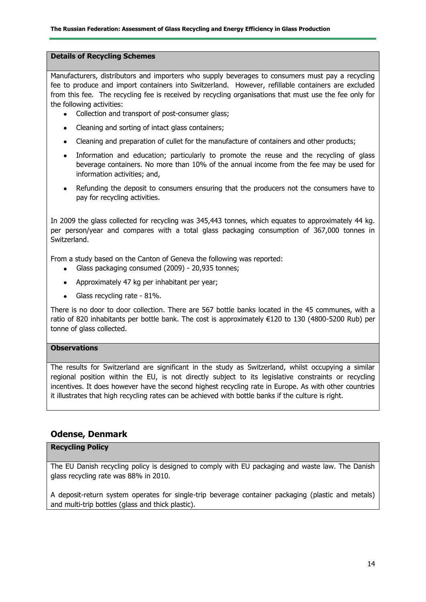#### **Details of Recycling Schemes**

Manufacturers, distributors and importers who supply beverages to consumers must pay a recycling fee to produce and import containers into Switzerland. However, refillable containers are excluded from this fee. The recycling fee is received by recycling organisations that must use the fee only for the following activities:

- Collection and transport of post-consumer glass;
- Cleaning and sorting of intact glass containers;
- Cleaning and preparation of cullet for the manufacture of containers and other products;
- Information and education; particularly to promote the reuse and the recycling of glass beverage containers. No more than 10% of the annual income from the fee may be used for information activities; and,
- Refunding the deposit to consumers ensuring that the producers not the consumers have to pay for recycling activities.

In 2009 the glass collected for recycling was 345,443 tonnes, which equates to approximately 44 kg. per person/year and compares with a total glass packaging consumption of 367,000 tonnes in Switzerland.

From a study based on the Canton of Geneva the following was reported:

- $\bullet$ Glass packaging consumed (2009) - 20,935 tonnes;
- Approximately 47 kg per inhabitant per year;
- Glass recycling rate 81%.

There is no door to door collection. There are 567 bottle banks located in the 45 communes, with a ratio of 820 inhabitants per bottle bank. The cost is approximately €120 to 130 (4800-5200 Rub) per tonne of glass collected.

#### **Observations**

The results for Switzerland are significant in the study as Switzerland, whilst occupying a similar regional position within the EU, is not directly subject to its legislative constraints or recycling incentives. It does however have the second highest recycling rate in Europe. As with other countries it illustrates that high recycling rates can be achieved with bottle banks if the culture is right.

#### **Odense, Denmark**

#### **Recycling Policy**

The EU Danish recycling policy is designed to comply with EU packaging and waste law. The Danish glass recycling rate was 88% in 2010.

A deposit-return system operates for single-trip beverage container packaging (plastic and metals) and multi-trip bottles (glass and thick plastic).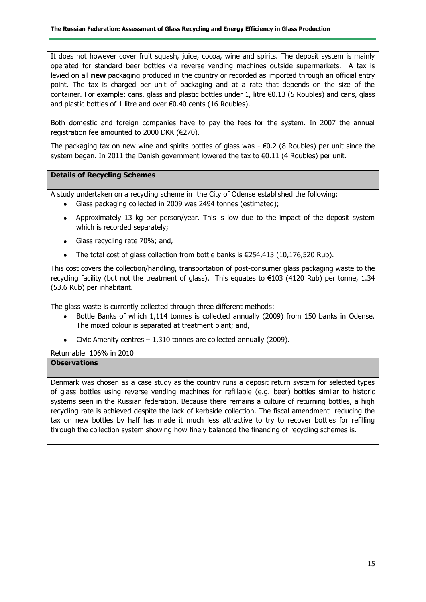It does not however cover fruit squash, juice, cocoa, wine and spirits. The deposit system is mainly operated for standard beer bottles via reverse vending machines outside supermarkets. A tax is levied on all **new** packaging produced in the country or recorded as imported through an official entry point. The tax is charged per unit of packaging and at a rate that depends on the size of the container. For example: cans, glass and plastic bottles under 1, litre €0.13 (5 Roubles) and cans, glass and plastic bottles of 1 litre and over €0.40 cents (16 Roubles).

Both domestic and foreign companies have to pay the fees for the system. In 2007 the annual registration fee amounted to 2000 DKK (€270).

The packaging tax on new wine and spirits bottles of glass was  $-\epsilon 0.2$  (8 Roubles) per unit since the system began. In 2011 the Danish government lowered the tax to  $\epsilon$ 0.11 (4 Roubles) per unit.

#### **Details of Recycling Schemes**

A study undertaken on a recycling scheme in the City of Odense established the following:

- Glass packaging collected in 2009 was 2494 tonnes (estimated);
- Approximately 13 kg per person/year. This is low due to the impact of the deposit system which is recorded separately;
- Glass recycling rate 70%; and,
- The total cost of glass collection from bottle banks is  $\epsilon$ 254,413 (10,176,520 Rub).

This cost covers the collection/handling, transportation of post-consumer glass packaging waste to the recycling facility (but not the treatment of glass). This equates to €103 (4120 Rub) per tonne, 1.34 (53.6 Rub) per inhabitant.

The glass waste is currently collected through three different methods:

- Bottle Banks of which 1,114 tonnes is collected annually (2009) from 150 banks in Odense. The mixed colour is separated at treatment plant; and,
- Civic Amenity centres  $-1,310$  tonnes are collected annually (2009).

Returnable 106% in 2010

#### **Observations**

Denmark was chosen as a case study as the country runs a deposit return system for selected types of glass bottles using reverse vending machines for refillable (e.g. beer) bottles similar to historic systems seen in the Russian federation. Because there remains a culture of returning bottles, a high recycling rate is achieved despite the lack of kerbside collection. The fiscal amendment reducing the tax on new bottles by half has made it much less attractive to try to recover bottles for refilling through the collection system showing how finely balanced the financing of recycling schemes is.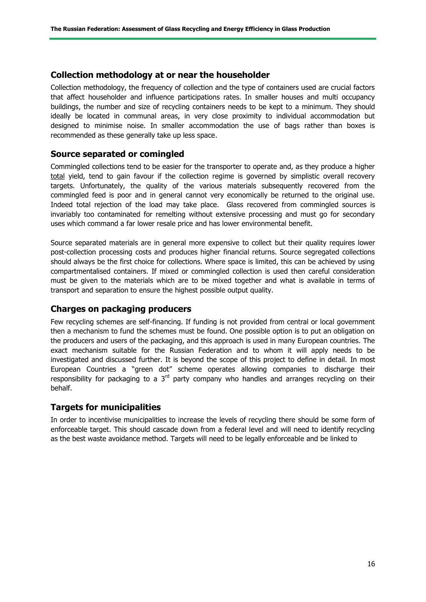### **Collection methodology at or near the householder**

Collection methodology, the frequency of collection and the type of containers used are crucial factors that affect householder and influence participations rates. In smaller houses and multi occupancy buildings, the number and size of recycling containers needs to be kept to a minimum. They should ideally be located in communal areas, in very close proximity to individual accommodation but designed to minimise noise. In smaller accommodation the use of bags rather than boxes is recommended as these generally take up less space.

### **Source separated or comingled**

Commingled collections tend to be easier for the transporter to operate and, as they produce a higher total yield, tend to gain favour if the collection regime is governed by simplistic overall recovery targets. Unfortunately, the quality of the various materials subsequently recovered from the commingled feed is poor and in general cannot very economically be returned to the original use. Indeed total rejection of the load may take place. Glass recovered from commingled sources is invariably too contaminated for remelting without extensive processing and must go for secondary uses which command a far lower resale price and has lower environmental benefit.

Source separated materials are in general more expensive to collect but their quality requires lower post-collection processing costs and produces higher financial returns. Source segregated collections should always be the first choice for collections. Where space is limited, this can be achieved by using compartmentalised containers. If mixed or commingled collection is used then careful consideration must be given to the materials which are to be mixed together and what is available in terms of transport and separation to ensure the highest possible output quality.

### **Charges on packaging producers**

Few recycling schemes are self-financing. If funding is not provided from central or local government then a mechanism to fund the schemes must be found. One possible option is to put an obligation on the producers and users of the packaging, and this approach is used in many European countries. The exact mechanism suitable for the Russian Federation and to whom it will apply needs to be investigated and discussed further. It is beyond the scope of this project to define in detail. In most European Countries a "green dot" scheme operates allowing companies to discharge their responsibility for packaging to a  $3<sup>rd</sup>$  party company who handles and arranges recycling on their behalf.

### **Targets for municipalities**

In order to incentivise municipalities to increase the levels of recycling there should be some form of enforceable target. This should cascade down from a federal level and will need to identify recycling as the best waste avoidance method. Targets will need to be legally enforceable and be linked to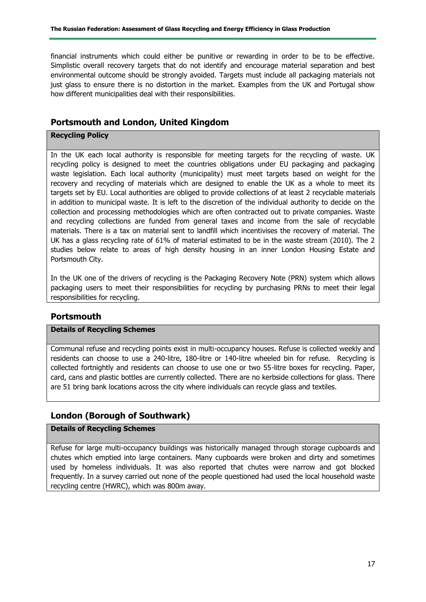financial instruments which could either be punitive or rewarding in order to be to be effective. Simplistic overall recovery targets that do not identify and encourage material separation and best environmental outcome should be strongly avoided. Targets must include all packaging materials not just glass to ensure there is no distortion in the market. Examples from the UK and Portugal show how different municipalities deal with their responsibilities.

## **Portsmouth and London, United Kingdom**

#### **Recycling Policy**

In the UK each local authority is responsible for meeting targets for the recycling of waste. UK recycling policy is designed to meet the countries obligations under EU packaging and packaging waste legislation. Each local authority (municipality) must meet targets based on weight for the recovery and recycling of materials which are designed to enable the UK as a whole to meet its targets set by EU. Local authorities are obliged to provide collections of at least 2 recyclable materials in addition to municipal waste. It is left to the discretion of the individual authority to decide on the collection and processing methodologies which are often contracted out to private companies. Waste and recycling collections are funded from general taxes and income from the sale of recyclable materials. There is a tax on material sent to landfill which incentivises the recovery of material. The UK has a glass recycling rate of 61% of material estimated to be in the waste stream (2010). The 2 studies below relate to areas of high density housing in an inner London Housing Estate and Portsmouth City.

In the UK one of the drivers of recycling is the Packaging Recovery Note (PRN) system which allows packaging users to meet their responsibilities for recycling by purchasing PRNs to meet their legal responsibilities for recycling.

### **Portsmouth**

#### **Details of Recycling Schemes**

Communal refuse and recycling points exist in multi-occupancy houses. Refuse is collected weekly and residents can choose to use a 240-litre, 180-litre or 140-litre wheeled bin for refuse. Recycling is collected fortnightly and residents can choose to use one or two 55-litre boxes for recycling. Paper, card, cans and plastic bottles are currently collected. There are no kerbside collections for glass. There are 51 bring bank locations across the city where individuals can recycle glass and textiles.

## **London (Borough of Southwark)**

#### **Details of Recycling Schemes**

Refuse for large multi-occupancy buildings was historically managed through storage cupboards and chutes which emptied into large containers. Many cupboards were broken and dirty and sometimes used by homeless individuals. It was also reported that chutes were narrow and got blocked frequently. In a survey carried out none of the people questioned had used the local household waste recycling centre (HWRC), which was 800m away.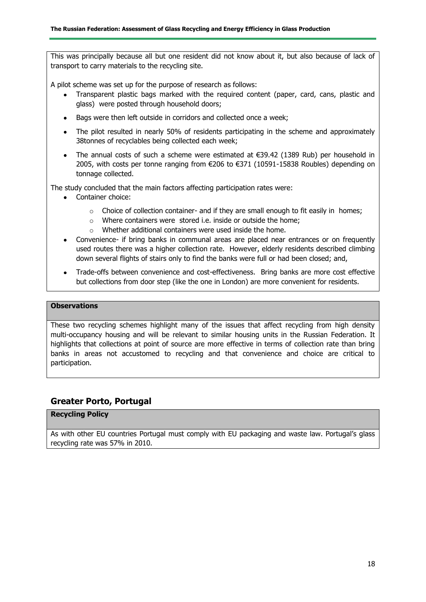This was principally because all but one resident did not know about it, but also because of lack of transport to carry materials to the recycling site.

A pilot scheme was set up for the purpose of research as follows:

- Transparent plastic bags marked with the required content (paper, card, cans, plastic and glass) were posted through household doors;
- Bags were then left outside in corridors and collected once a week;
- The pilot resulted in nearly 50% of residents participating in the scheme and approximately 38tonnes of recyclables being collected each week;
- The annual costs of such a scheme were estimated at €39.42 (1389 Rub) per household in 2005, with costs per tonne ranging from €206 to €371 (10591-15838 Roubles) depending on tonnage collected.

The study concluded that the main factors affecting participation rates were:

- Container choice:
	- $\circ$  Choice of collection container- and if they are small enough to fit easily in homes;
	- o Where containers were stored i.e. inside or outside the home;
	- o Whether additional containers were used inside the home.
- Convenience- if bring banks in communal areas are placed near entrances or on frequently used routes there was a higher collection rate. However, elderly residents described climbing down several flights of stairs only to find the banks were full or had been closed; and,
- Trade-offs between convenience and cost-effectiveness. Bring banks are more cost effective but collections from door step (like the one in London) are more convenient for residents.

#### **Observations**

These two recycling schemes highlight many of the issues that affect recycling from high density multi-occupancy housing and will be relevant to similar housing units in the Russian Federation. It highlights that collections at point of source are more effective in terms of collection rate than bring banks in areas not accustomed to recycling and that convenience and choice are critical to participation.

## **Greater Porto, Portugal**

### **Recycling Policy**

As with other EU countries Portugal must comply with EU packaging and waste law. Portugal's glass recycling rate was 57% in 2010.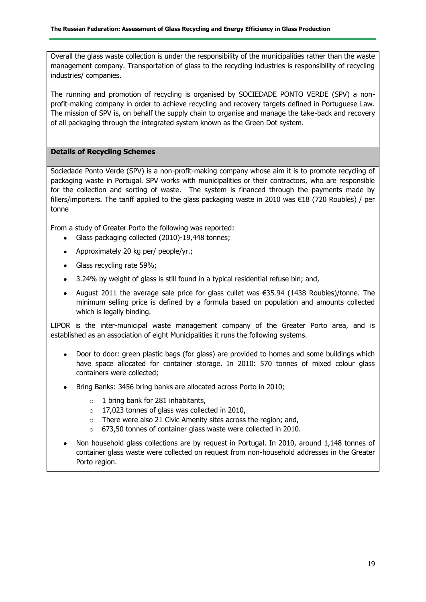Overall the glass waste collection is under the responsibility of the municipalities rather than the waste management company. Transportation of glass to the recycling industries is responsibility of recycling industries/ companies.

The running and promotion of recycling is organised by SOCIEDADE PONTO VERDE (SPV) a nonprofit-making company in order to achieve recycling and recovery targets defined in Portuguese Law. The mission of SPV is, on behalf the supply chain to organise and manage the take-back and recovery of all packaging through the integrated system known as the Green Dot system.

#### **Details of Recycling Schemes**

Sociedade Ponto Verde (SPV) is a non-profit-making company whose aim it is to promote recycling of packaging waste in Portugal. SPV works with municipalities or their contractors, who are responsible for the collection and sorting of waste. The system is financed through the payments made by fillers/importers. The tariff applied to the glass packaging waste in 2010 was €18 (720 Roubles) / per tonne

From a study of Greater Porto the following was reported:

- $\bullet$  . Glass packaging collected (2010)-19,448 tonnes;
- Approximately 20 kg per/ people/yr.;  $\bullet$
- Glass recycling rate 59%;
- 3.24% by weight of glass is still found in a typical residential refuse bin; and,
- August 2011 the average sale price for glass cullet was €35.94 (1438 Roubles)/tonne. The minimum selling price is defined by a formula based on population and amounts collected which is legally binding.

LIPOR is the inter-municipal waste management company of the Greater Porto area, and is established as an association of eight Municipalities it runs the following systems.

- Door to door: green plastic bags (for glass) are provided to homes and some buildings which have space allocated for container storage. In 2010: 570 tonnes of mixed colour glass containers were collected;
- Bring Banks: 3456 bring banks are allocated across Porto in 2010;
	- o 1 bring bank for 281 inhabitants,
	- o 17,023 tonnes of glass was collected in 2010,
	- o There were also 21 Civic Amenity sites across the region; and,
	- $\circ$  673,50 tonnes of container glass waste were collected in 2010.
- Non household glass collections are by request in Portugal. In 2010, around 1,148 tonnes of container glass waste were collected on request from non-household addresses in the Greater Porto region.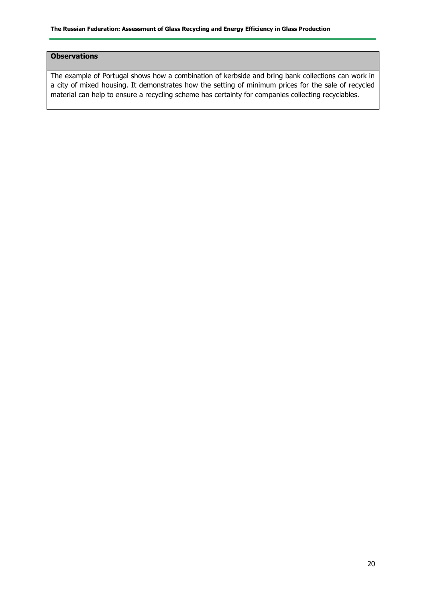#### **Observations**

The example of Portugal shows how a combination of kerbside and bring bank collections can work in a city of mixed housing. It demonstrates how the setting of minimum prices for the sale of recycled material can help to ensure a recycling scheme has certainty for companies collecting recyclables.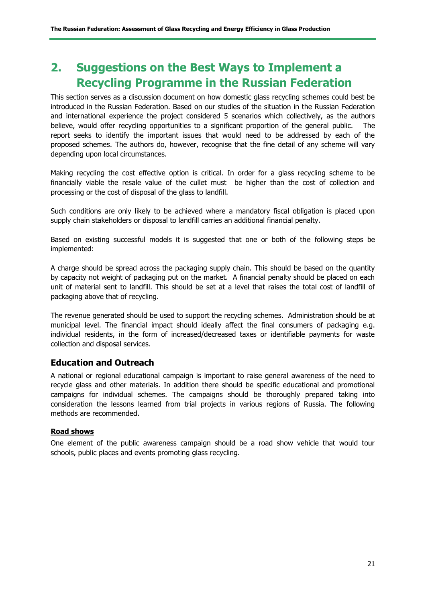## **2. Suggestions on the Best Ways to Implement a Recycling Programme in the Russian Federation**

This section serves as a discussion document on how domestic glass recycling schemes could best be introduced in the Russian Federation. Based on our studies of the situation in the Russian Federation and international experience the project considered 5 scenarios which collectively, as the authors believe, would offer recycling opportunities to a significant proportion of the general public. The report seeks to identify the important issues that would need to be addressed by each of the proposed schemes. The authors do, however, recognise that the fine detail of any scheme will vary depending upon local circumstances.

Making recycling the cost effective option is critical. In order for a glass recycling scheme to be financially viable the resale value of the cullet must be higher than the cost of collection and processing or the cost of disposal of the glass to landfill.

Such conditions are only likely to be achieved where a mandatory fiscal obligation is placed upon supply chain stakeholders or disposal to landfill carries an additional financial penalty.

Based on existing successful models it is suggested that one or both of the following steps be implemented:

A charge should be spread across the packaging supply chain. This should be based on the quantity by capacity not weight of packaging put on the market. A financial penalty should be placed on each unit of material sent to landfill. This should be set at a level that raises the total cost of landfill of packaging above that of recycling.

The revenue generated should be used to support the recycling schemes. Administration should be at municipal level. The financial impact should ideally affect the final consumers of packaging e.g. individual residents, in the form of increased/decreased taxes or identifiable payments for waste collection and disposal services.

### **Education and Outreach**

A national or regional educational campaign is important to raise general awareness of the need to recycle glass and other materials. In addition there should be specific educational and promotional campaigns for individual schemes. The campaigns should be thoroughly prepared taking into consideration the lessons learned from trial projects in various regions of Russia. The following methods are recommended.

#### **Road shows**

One element of the public awareness campaign should be a road show vehicle that would tour schools, public places and events promoting glass recycling.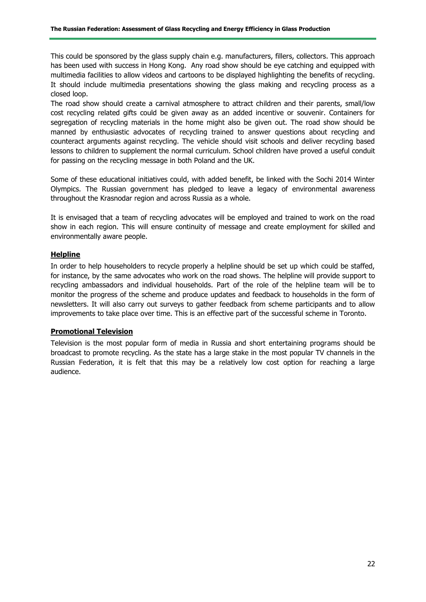This could be sponsored by the glass supply chain e.g. manufacturers, fillers, collectors. This approach has been used with success in Hong Kong. Any road show should be eye catching and equipped with multimedia facilities to allow videos and cartoons to be displayed highlighting the benefits of recycling. It should include multimedia presentations showing the glass making and recycling process as a closed loop.

The road show should create a carnival atmosphere to attract children and their parents, small/low cost recycling related gifts could be given away as an added incentive or souvenir. Containers for segregation of recycling materials in the home might also be given out. The road show should be manned by enthusiastic advocates of recycling trained to answer questions about recycling and counteract arguments against recycling. The vehicle should visit schools and deliver recycling based lessons to children to supplement the normal curriculum. School children have proved a useful conduit for passing on the recycling message in both Poland and the UK.

Some of these educational initiatives could, with added benefit, be linked with the Sochi 2014 Winter Olympics. The Russian government has pledged to leave a legacy of environmental awareness throughout the Krasnodar region and across Russia as a whole.

It is envisaged that a team of recycling advocates will be employed and trained to work on the road show in each region. This will ensure continuity of message and create employment for skilled and environmentally aware people.

#### **Helpline**

In order to help householders to recycle properly a helpline should be set up which could be staffed, for instance, by the same advocates who work on the road shows. The helpline will provide support to recycling ambassadors and individual households. Part of the role of the helpline team will be to monitor the progress of the scheme and produce updates and feedback to households in the form of newsletters. It will also carry out surveys to gather feedback from scheme participants and to allow improvements to take place over time. This is an effective part of the successful scheme in Toronto.

#### **Promotional Television**

Television is the most popular form of media in Russia and short entertaining programs should be broadcast to promote recycling. As the state has a large stake in the most popular TV channels in the Russian Federation, it is felt that this may be a relatively low cost option for reaching a large audience.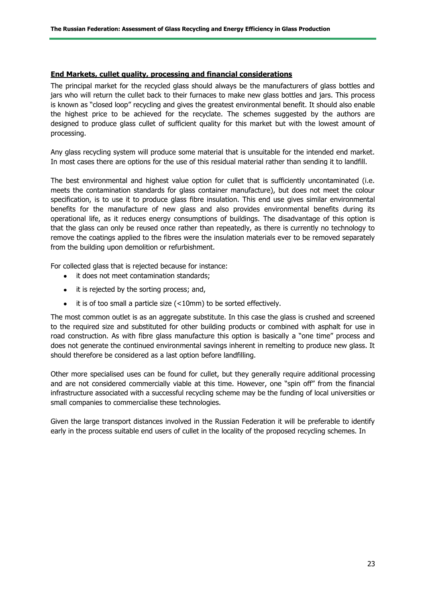#### **End Markets, cullet quality, processing and financial considerations**

The principal market for the recycled glass should always be the manufacturers of glass bottles and jars who will return the cullet back to their furnaces to make new glass bottles and jars. This process is known as "closed loop" recycling and gives the greatest environmental benefit. It should also enable the highest price to be achieved for the recyclate. The schemes suggested by the authors are designed to produce glass cullet of sufficient quality for this market but with the lowest amount of processing.

Any glass recycling system will produce some material that is unsuitable for the intended end market. In most cases there are options for the use of this residual material rather than sending it to landfill.

The best environmental and highest value option for cullet that is sufficiently uncontaminated (i.e. meets the contamination standards for glass container manufacture), but does not meet the colour specification, is to use it to produce glass fibre insulation. This end use gives similar environmental benefits for the manufacture of new glass and also provides environmental benefits during its operational life, as it reduces energy consumptions of buildings. The disadvantage of this option is that the glass can only be reused once rather than repeatedly, as there is currently no technology to remove the coatings applied to the fibres were the insulation materials ever to be removed separately from the building upon demolition or refurbishment.

For collected glass that is rejected because for instance:

- it does not meet contamination standards;
- it is rejected by the sorting process; and,
- it is of too small a particle size (<10mm) to be sorted effectively.

The most common outlet is as an aggregate substitute. In this case the glass is crushed and screened to the required size and substituted for other building products or combined with asphalt for use in road construction. As with fibre glass manufacture this option is basically a "one time" process and does not generate the continued environmental savings inherent in remelting to produce new glass. It should therefore be considered as a last option before landfilling.

Other more specialised uses can be found for cullet, but they generally require additional processing and are not considered commercially viable at this time. However, one "spin off" from the financial infrastructure associated with a successful recycling scheme may be the funding of local universities or small companies to commercialise these technologies.

Given the large transport distances involved in the Russian Federation it will be preferable to identify early in the process suitable end users of cullet in the locality of the proposed recycling schemes. In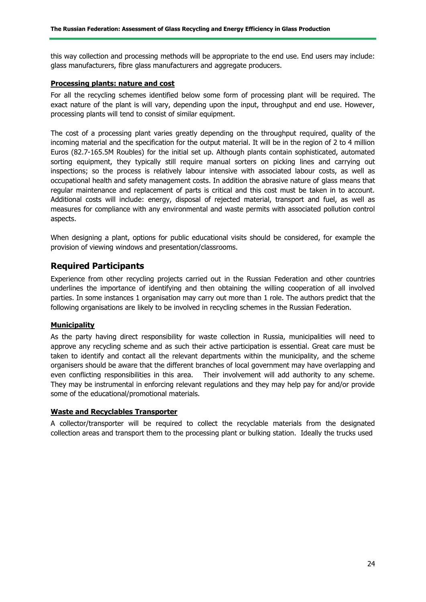this way collection and processing methods will be appropriate to the end use. End users may include: glass manufacturers, fibre glass manufacturers and aggregate producers.

#### **Processing plants: nature and cost**

For all the recycling schemes identified below some form of processing plant will be required. The exact nature of the plant is will vary, depending upon the input, throughput and end use. However, processing plants will tend to consist of similar equipment.

The cost of a processing plant varies greatly depending on the throughput required, quality of the incoming material and the specification for the output material. It will be in the region of 2 to 4 million Euros (82.7-165.5M Roubles) for the initial set up. Although plants contain sophisticated, automated sorting equipment, they typically still require manual sorters on picking lines and carrying out inspections; so the process is relatively labour intensive with associated labour costs, as well as occupational health and safety management costs. In addition the abrasive nature of glass means that regular maintenance and replacement of parts is critical and this cost must be taken in to account. Additional costs will include: energy, disposal of rejected material, transport and fuel, as well as measures for compliance with any environmental and waste permits with associated pollution control aspects.

When designing a plant, options for public educational visits should be considered, for example the provision of viewing windows and presentation/classrooms.

## **Required Participants**

Experience from other recycling projects carried out in the Russian Federation and other countries underlines the importance of identifying and then obtaining the willing cooperation of all involved parties. In some instances 1 organisation may carry out more than 1 role. The authors predict that the following organisations are likely to be involved in recycling schemes in the Russian Federation.

#### **Municipality**

As the party having direct responsibility for waste collection in Russia, municipalities will need to approve any recycling scheme and as such their active participation is essential. Great care must be taken to identify and contact all the relevant departments within the municipality, and the scheme organisers should be aware that the different branches of local government may have overlapping and even conflicting responsibilities in this area. Their involvement will add authority to any scheme. They may be instrumental in enforcing relevant regulations and they may help pay for and/or provide some of the educational/promotional materials.

#### **Waste and Recyclables Transporter**

A collector/transporter will be required to collect the recyclable materials from the designated collection areas and transport them to the processing plant or bulking station. Ideally the trucks used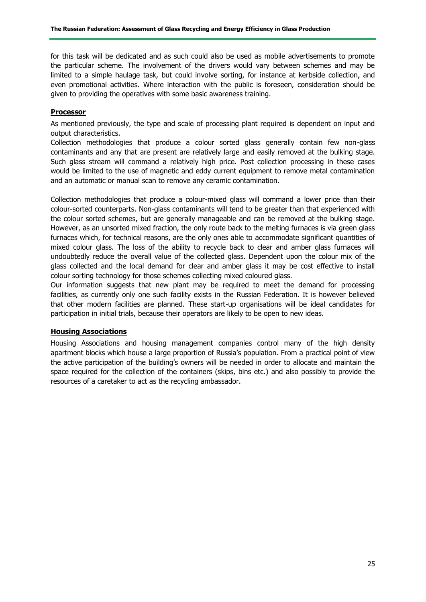for this task will be dedicated and as such could also be used as mobile advertisements to promote the particular scheme. The involvement of the drivers would vary between schemes and may be limited to a simple haulage task, but could involve sorting, for instance at kerbside collection, and even promotional activities. Where interaction with the public is foreseen, consideration should be given to providing the operatives with some basic awareness training.

#### **Processor**

As mentioned previously, the type and scale of processing plant required is dependent on input and output characteristics.

Collection methodologies that produce a colour sorted glass generally contain few non-glass contaminants and any that are present are relatively large and easily removed at the bulking stage. Such glass stream will command a relatively high price. Post collection processing in these cases would be limited to the use of magnetic and eddy current equipment to remove metal contamination and an automatic or manual scan to remove any ceramic contamination.

Collection methodologies that produce a colour-mixed glass will command a lower price than their colour-sorted counterparts. Non-glass contaminants will tend to be greater than that experienced with the colour sorted schemes, but are generally manageable and can be removed at the bulking stage. However, as an unsorted mixed fraction, the only route back to the melting furnaces is via green glass furnaces which, for technical reasons, are the only ones able to accommodate significant quantities of mixed colour glass. The loss of the ability to recycle back to clear and amber glass furnaces will undoubtedly reduce the overall value of the collected glass. Dependent upon the colour mix of the glass collected and the local demand for clear and amber glass it may be cost effective to install colour sorting technology for those schemes collecting mixed coloured glass.

Our information suggests that new plant may be required to meet the demand for processing facilities, as currently only one such facility exists in the Russian Federation. It is however believed that other modern facilities are planned. These start-up organisations will be ideal candidates for participation in initial trials, because their operators are likely to be open to new ideas.

#### **Housing Associations**

Housing Associations and housing management companies control many of the high density apartment blocks which house a large proportion of Russia's population. From a practical point of view the active participation of the building's owners will be needed in order to allocate and maintain the space required for the collection of the containers (skips, bins etc.) and also possibly to provide the resources of a caretaker to act as the recycling ambassador.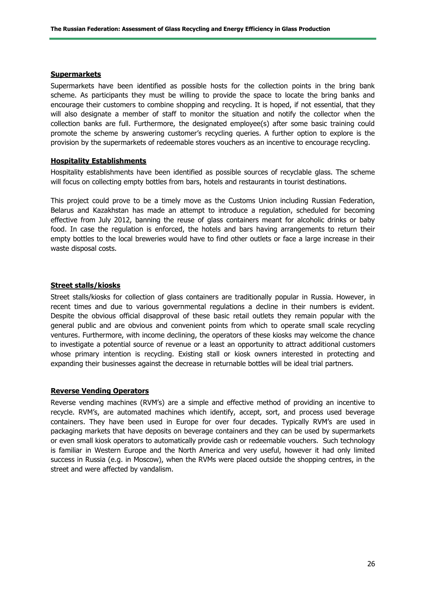#### **Supermarkets**

Supermarkets have been identified as possible hosts for the collection points in the bring bank scheme. As participants they must be willing to provide the space to locate the bring banks and encourage their customers to combine shopping and recycling. It is hoped, if not essential, that they will also designate a member of staff to monitor the situation and notify the collector when the collection banks are full. Furthermore, the designated employee(s) after some basic training could promote the scheme by answering customer's recycling queries. A further option to explore is the provision by the supermarkets of redeemable stores vouchers as an incentive to encourage recycling.

#### **Hospitality Establishments**

Hospitality establishments have been identified as possible sources of recyclable glass. The scheme will focus on collecting empty bottles from bars, hotels and restaurants in tourist destinations.

This project could prove to be a timely move as the Customs Union including Russian Federation, Belarus and Kazakhstan has made an attempt to introduce a regulation, scheduled for becoming effective from July 2012, banning the reuse of glass containers meant for alcoholic drinks or baby food. In case the regulation is enforced, the hotels and bars having arrangements to return their empty bottles to the local breweries would have to find other outlets or face a large increase in their waste disposal costs.

#### **Street stalls/kiosks**

Street stalls/kiosks for collection of glass containers are traditionally popular in Russia. However, in recent times and due to various governmental regulations a decline in their numbers is evident. Despite the obvious official disapproval of these basic retail outlets they remain popular with the general public and are obvious and convenient points from which to operate small scale recycling ventures. Furthermore, with income declining, the operators of these kiosks may welcome the chance to investigate a potential source of revenue or a least an opportunity to attract additional customers whose primary intention is recycling. Existing stall or kiosk owners interested in protecting and expanding their businesses against the decrease in returnable bottles will be ideal trial partners.

#### **Reverse Vending Operators**

Reverse vending machines (RVM's) are a simple and effective method of providing an incentive to recycle. RVM's, are automated machines which identify, accept, sort, and process used beverage containers. They have been used in Europe for over four decades. Typically RVM's are used in packaging markets that have deposits on beverage containers and they can be used by supermarkets or even small kiosk operators to automatically provide cash or redeemable vouchers. Such technology is familiar in Western Europe and the North America and very useful, however it had only limited success in Russia (e.g. in Moscow), when the RVMs were placed outside the shopping centres, in the street and were affected by vandalism.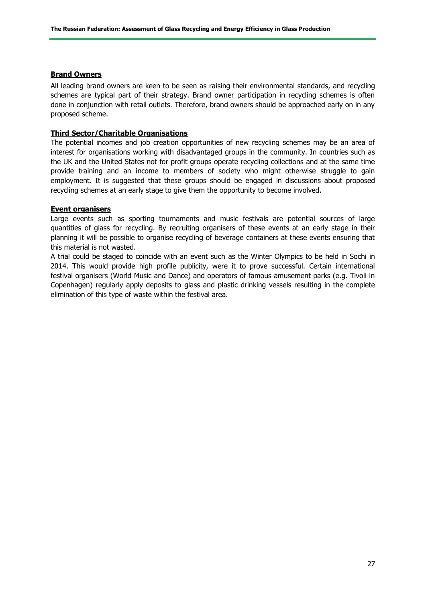#### **Brand Owners**

All leading brand owners are keen to be seen as raising their environmental standards, and recycling schemes are typical part of their strategy. Brand owner participation in recycling schemes is often done in conjunction with retail outlets. Therefore, brand owners should be approached early on in any proposed scheme.

#### **Third Sector/Charitable Organisations**

The potential incomes and job creation opportunities of new recycling schemes may be an area of interest for organisations working with disadvantaged groups in the community. In countries such as the UK and the United States not for profit groups operate recycling collections and at the same time provide training and an income to members of society who might otherwise struggle to gain employment. It is suggested that these groups should be engaged in discussions about proposed recycling schemes at an early stage to give them the opportunity to become involved.

#### **Event organisers**

Large events such as sporting tournaments and music festivals are potential sources of large quantities of glass for recycling. By recruiting organisers of these events at an early stage in their planning it will be possible to organise recycling of beverage containers at these events ensuring that this material is not wasted.

A trial could be staged to coincide with an event such as the Winter Olympics to be held in Sochi in 2014. This would provide high profile publicity, were it to prove successful. Certain international festival organisers (World Music and Dance) and operators of famous amusement parks (e.g. Tivoli in Copenhagen) regularly apply deposits to glass and plastic drinking vessels resulting in the complete elimination of this type of waste within the festival area.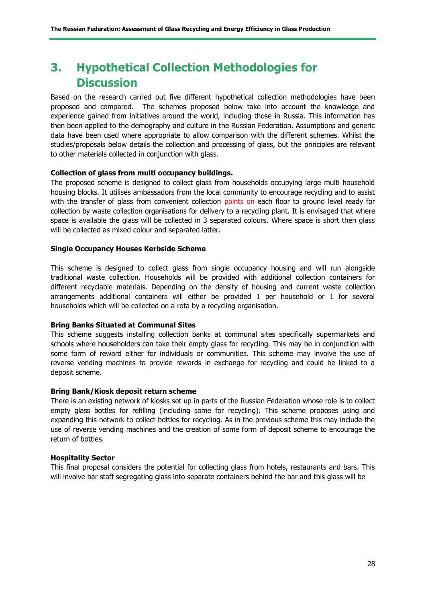## **3. Hypothetical Collection Methodologies for Discussion**

Based on the research carried out five different hypothetical collection methodologies have been proposed and compared. The schemes proposed below take into account the knowledge and experience gained from initiatives around the world, including those in Russia. This information has then been applied to the demography and culture in the Russian Federation. Assumptions and generic data have been used where appropriate to allow comparison with the different schemes. Whilst the studies/proposals below details the collection and processing of glass, but the principles are relevant to other materials collected in conjunction with glass.

#### **Collection of glass from multi occupancy buildings.**

The proposed scheme is designed to collect glass from households occupying large multi household housing blocks. It utilises ambassadors from the local community to encourage recycling and to assist with the transfer of glass from convenient collection points on each floor to ground level ready for collection by waste collection organisations for delivery to a recycling plant. It is envisaged that where space is available the glass will be collected in 3 separated colours. Where space is short then glass will be collected as mixed colour and separated latter.

#### **Single Occupancy Houses Kerbside Scheme**

This scheme is designed to collect glass from single occupancy housing and will run alongside traditional waste collection. Households will be provided with additional collection containers for different recyclable materials. Depending on the density of housing and current waste collection arrangements additional containers will either be provided 1 per household or 1 for several households which will be collected on a rota by a recycling organisation.

#### **Bring Banks Situated at Communal Sites**

This scheme suggests installing collection banks at communal sites specifically supermarkets and schools where householders can take their empty glass for recycling. This may be in conjunction with some form of reward either for individuals or communities. This scheme may involve the use of reverse vending machines to provide rewards in exchange for recycling and could be linked to a deposit scheme.

#### **Bring Bank/Kiosk deposit return scheme**

There is an existing network of kiosks set up in parts of the Russian Federation whose role is to collect empty glass bottles for refilling (including some for recycling). This scheme proposes using and expanding this network to collect bottles for recycling. As in the previous scheme this may include the use of reverse vending machines and the creation of some form of deposit scheme to encourage the return of bottles.

#### **Hospitality Sector**

This final proposal considers the potential for collecting glass from hotels, restaurants and bars. This will involve bar staff segregating glass into separate containers behind the bar and this glass will be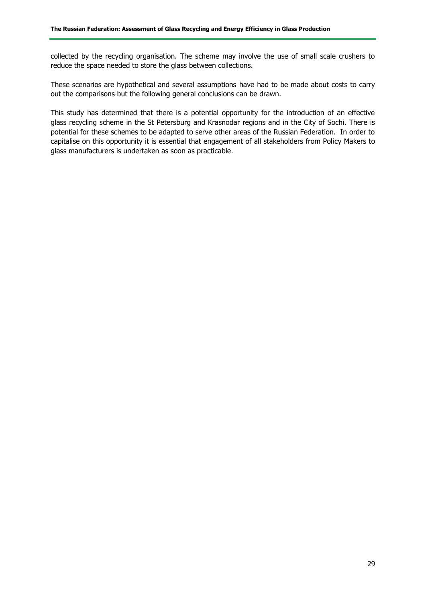collected by the recycling organisation. The scheme may involve the use of small scale crushers to reduce the space needed to store the glass between collections.

These scenarios are hypothetical and several assumptions have had to be made about costs to carry out the comparisons but the following general conclusions can be drawn.

This study has determined that there is a potential opportunity for the introduction of an effective glass recycling scheme in the St Petersburg and Krasnodar regions and in the City of Sochi. There is potential for these schemes to be adapted to serve other areas of the Russian Federation. In order to capitalise on this opportunity it is essential that engagement of all stakeholders from Policy Makers to glass manufacturers is undertaken as soon as practicable.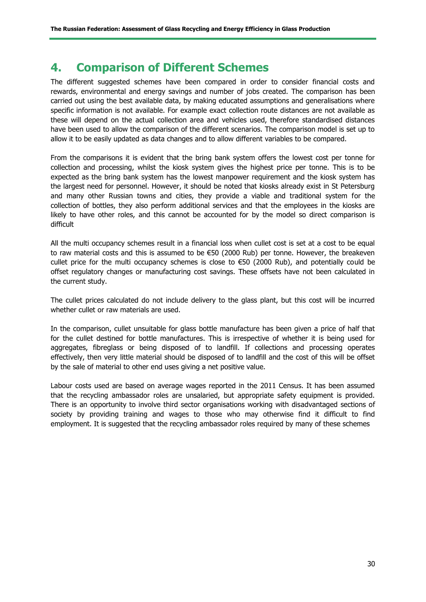## **4. Comparison of Different Schemes**

The different suggested schemes have been compared in order to consider financial costs and rewards, environmental and energy savings and number of jobs created. The comparison has been carried out using the best available data, by making educated assumptions and generalisations where specific information is not available. For example exact collection route distances are not available as these will depend on the actual collection area and vehicles used, therefore standardised distances have been used to allow the comparison of the different scenarios. The comparison model is set up to allow it to be easily updated as data changes and to allow different variables to be compared.

From the comparisons it is evident that the bring bank system offers the lowest cost per tonne for collection and processing, whilst the kiosk system gives the highest price per tonne. This is to be expected as the bring bank system has the lowest manpower requirement and the kiosk system has the largest need for personnel. However, it should be noted that kiosks already exist in St Petersburg and many other Russian towns and cities, they provide a viable and traditional system for the collection of bottles, they also perform additional services and that the employees in the kiosks are likely to have other roles, and this cannot be accounted for by the model so direct comparison is difficult

All the multi occupancy schemes result in a financial loss when cullet cost is set at a cost to be equal to raw material costs and this is assumed to be €50 (2000 Rub) per tonne. However, the breakeven cullet price for the multi occupancy schemes is close to  $\epsilon$ 50 (2000 Rub), and potentially could be offset regulatory changes or manufacturing cost savings. These offsets have not been calculated in the current study.

The cullet prices calculated do not include delivery to the glass plant, but this cost will be incurred whether cullet or raw materials are used.

In the comparison, cullet unsuitable for glass bottle manufacture has been given a price of half that for the cullet destined for bottle manufactures. This is irrespective of whether it is being used for aggregates, fibreglass or being disposed of to landfill. If collections and processing operates effectively, then very little material should be disposed of to landfill and the cost of this will be offset by the sale of material to other end uses giving a net positive value.

Labour costs used are based on average wages reported in the 2011 Census. It has been assumed that the recycling ambassador roles are unsalaried, but appropriate safety equipment is provided. There is an opportunity to involve third sector organisations working with disadvantaged sections of society by providing training and wages to those who may otherwise find it difficult to find employment. It is suggested that the recycling ambassador roles required by many of these schemes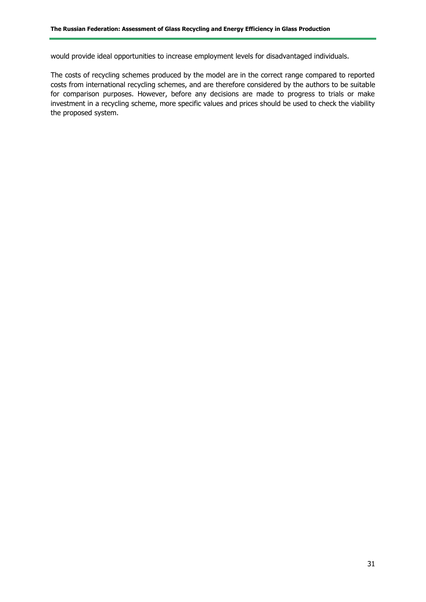would provide ideal opportunities to increase employment levels for disadvantaged individuals.

The costs of recycling schemes produced by the model are in the correct range compared to reported costs from international recycling schemes, and are therefore considered by the authors to be suitable for comparison purposes. However, before any decisions are made to progress to trials or make investment in a recycling scheme, more specific values and prices should be used to check the viability the proposed system.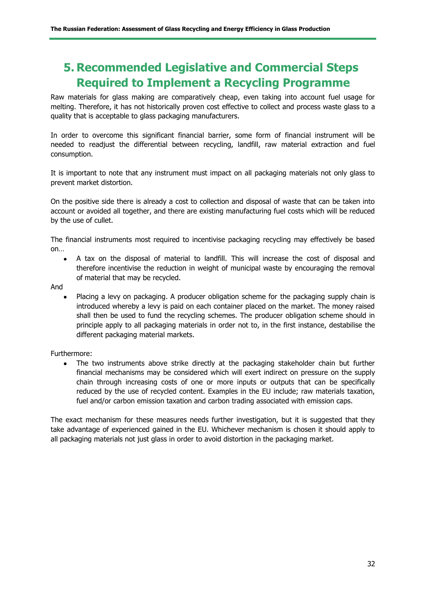## **5. Recommended Legislative and Commercial Steps Required to Implement a Recycling Programme**

Raw materials for glass making are comparatively cheap, even taking into account fuel usage for melting. Therefore, it has not historically proven cost effective to collect and process waste glass to a quality that is acceptable to glass packaging manufacturers.

In order to overcome this significant financial barrier, some form of financial instrument will be needed to readjust the differential between recycling, landfill, raw material extraction and fuel consumption.

It is important to note that any instrument must impact on all packaging materials not only glass to prevent market distortion.

On the positive side there is already a cost to collection and disposal of waste that can be taken into account or avoided all together, and there are existing manufacturing fuel costs which will be reduced by the use of cullet.

The financial instruments most required to incentivise packaging recycling may effectively be based on…

- A tax on the disposal of material to landfill. This will increase the cost of disposal and therefore incentivise the reduction in weight of municipal waste by encouraging the removal of material that may be recycled.
- And
	- Placing a levy on packaging. A producer obligation scheme for the packaging supply chain is introduced whereby a levy is paid on each container placed on the market. The money raised shall then be used to fund the recycling schemes. The producer obligation scheme should in principle apply to all packaging materials in order not to, in the first instance, destabilise the different packaging material markets.

#### Furthermore:

• The two instruments above strike directly at the packaging stakeholder chain but further financial mechanisms may be considered which will exert indirect on pressure on the supply chain through increasing costs of one or more inputs or outputs that can be specifically reduced by the use of recycled content. Examples in the EU include; raw materials taxation, fuel and/or carbon emission taxation and carbon trading associated with emission caps.

The exact mechanism for these measures needs further investigation, but it is suggested that they take advantage of experienced gained in the EU. Whichever mechanism is chosen it should apply to all packaging materials not just glass in order to avoid distortion in the packaging market.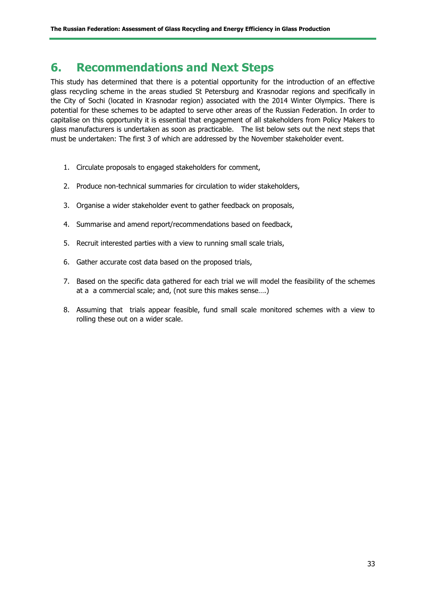## **6. Recommendations and Next Steps**

This study has determined that there is a potential opportunity for the introduction of an effective glass recycling scheme in the areas studied St Petersburg and Krasnodar regions and specifically in the City of Sochi (located in Krasnodar region) associated with the 2014 Winter Olympics. There is potential for these schemes to be adapted to serve other areas of the Russian Federation. In order to capitalise on this opportunity it is essential that engagement of all stakeholders from Policy Makers to glass manufacturers is undertaken as soon as practicable. The list below sets out the next steps that must be undertaken: The first 3 of which are addressed by the November stakeholder event.

- 1. Circulate proposals to engaged stakeholders for comment,
- 2. Produce non-technical summaries for circulation to wider stakeholders,
- 3. Organise a wider stakeholder event to gather feedback on proposals,
- 4. Summarise and amend report/recommendations based on feedback,
- 5. Recruit interested parties with a view to running small scale trials,
- 6. Gather accurate cost data based on the proposed trials,
- 7. Based on the specific data gathered for each trial we will model the feasibility of the schemes at a a commercial scale; and, (not sure this makes sense….)
- 8. Assuming that trials appear feasible, fund small scale monitored schemes with a view to rolling these out on a wider scale.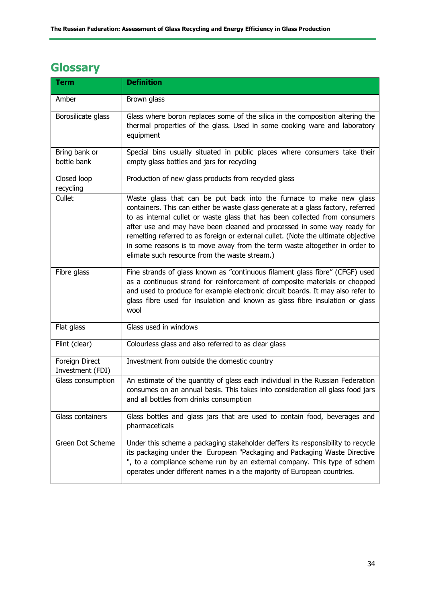## **Glossary**

| <b>Term</b>                        | <b>Definition</b>                                                                                                                                                                                                                                                                                                                                                                                                                                                                                                                     |
|------------------------------------|---------------------------------------------------------------------------------------------------------------------------------------------------------------------------------------------------------------------------------------------------------------------------------------------------------------------------------------------------------------------------------------------------------------------------------------------------------------------------------------------------------------------------------------|
| Amber                              | Brown glass                                                                                                                                                                                                                                                                                                                                                                                                                                                                                                                           |
| Borosilicate glass                 | Glass where boron replaces some of the silica in the composition altering the<br>thermal properties of the glass. Used in some cooking ware and laboratory<br>equipment                                                                                                                                                                                                                                                                                                                                                               |
| Bring bank or<br>bottle bank       | Special bins usually situated in public places where consumers take their<br>empty glass bottles and jars for recycling                                                                                                                                                                                                                                                                                                                                                                                                               |
| Closed loop<br>recycling           | Production of new glass products from recycled glass                                                                                                                                                                                                                                                                                                                                                                                                                                                                                  |
| Cullet                             | Waste glass that can be put back into the furnace to make new glass<br>containers. This can either be waste glass generate at a glass factory, referred<br>to as internal cullet or waste glass that has been collected from consumers<br>after use and may have been cleaned and processed in some way ready for<br>remelting referred to as foreign or external cullet. (Note the ultimate objective<br>in some reasons is to move away from the term waste altogether in order to<br>elimate such resource from the waste stream.) |
| Fibre glass                        | Fine strands of glass known as "continuous filament glass fibre" (CFGF) used<br>as a continuous strand for reinforcement of composite materials or chopped<br>and used to produce for example electronic circuit boards. It may also refer to<br>glass fibre used for insulation and known as glass fibre insulation or glass<br>wool                                                                                                                                                                                                 |
| Flat glass                         | Glass used in windows                                                                                                                                                                                                                                                                                                                                                                                                                                                                                                                 |
| Flint (clear)                      | Colourless glass and also referred to as clear glass                                                                                                                                                                                                                                                                                                                                                                                                                                                                                  |
| Foreign Direct<br>Investment (FDI) | Investment from outside the domestic country                                                                                                                                                                                                                                                                                                                                                                                                                                                                                          |
| Glass consumption                  | An estimate of the quantity of glass each individual in the Russian Federation<br>consumes on an annual basis. This takes into consideration all glass food jars<br>and all bottles from drinks consumption                                                                                                                                                                                                                                                                                                                           |
| Glass containers                   | Glass bottles and glass jars that are used to contain food, beverages and<br>pharmaceticals                                                                                                                                                                                                                                                                                                                                                                                                                                           |
| Green Dot Scheme                   | Under this scheme a packaging stakeholder deffers its responsibility to recycle<br>its packaging under the European "Packaging and Packaging Waste Directive<br>", to a compliance scheme run by an external company. This type of schem<br>operates under different names in a the majority of European countries.                                                                                                                                                                                                                   |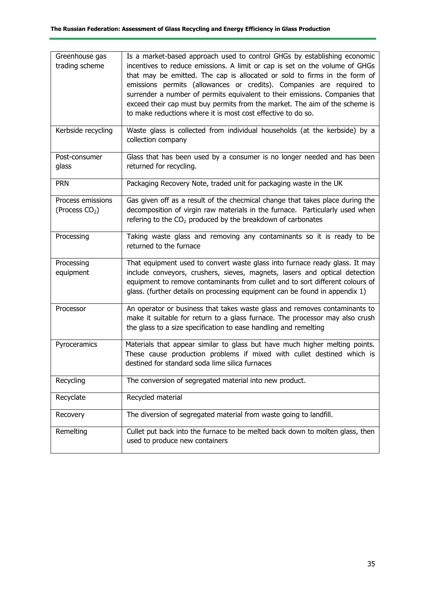| Greenhouse gas<br>trading scheme                | Is a market-based approach used to control GHGs by establishing economic<br>incentives to reduce emissions. A limit or cap is set on the volume of GHGs<br>that may be emitted. The cap is allocated or sold to firms in the form of<br>emissions permits (allowances or credits). Companies are required to<br>surrender a number of permits equivalent to their emissions. Companies that<br>exceed their cap must buy permits from the market. The aim of the scheme is<br>to make reductions where it is most cost effective to do so. |
|-------------------------------------------------|--------------------------------------------------------------------------------------------------------------------------------------------------------------------------------------------------------------------------------------------------------------------------------------------------------------------------------------------------------------------------------------------------------------------------------------------------------------------------------------------------------------------------------------------|
| Kerbside recycling                              | Waste glass is collected from individual households (at the kerbside) by a<br>collection company                                                                                                                                                                                                                                                                                                                                                                                                                                           |
| Post-consumer<br>glass                          | Glass that has been used by a consumer is no longer needed and has been<br>returned for recycling.                                                                                                                                                                                                                                                                                                                                                                                                                                         |
| <b>PRN</b>                                      | Packaging Recovery Note, traded unit for packaging waste in the UK                                                                                                                                                                                                                                                                                                                                                                                                                                                                         |
| Process emissions<br>(Process CO <sub>2</sub> ) | Gas given off as a result of the checmical change that takes place during the<br>decomposition of virgin raw materials in the furnace. Particularly used when<br>refering to the $CO2$ produced by the breakdown of carbonates                                                                                                                                                                                                                                                                                                             |
| Processing                                      | Taking waste glass and removing any contaminants so it is ready to be<br>returned to the furnace                                                                                                                                                                                                                                                                                                                                                                                                                                           |
| Processing<br>equipment                         | That equipment used to convert waste glass into furnace ready glass. It may<br>include conveyors, crushers, sieves, magnets, lasers and optical detection<br>equipment to remove contaminants from cullet and to sort different colours of<br>glass. (further details on processing equipment can be found in appendix 1)                                                                                                                                                                                                                  |
| Processor                                       | An operator or business that takes waste glass and removes contaminants to<br>make it suitable for return to a glass furnace. The processor may also crush<br>the glass to a size specification to ease handling and remelting                                                                                                                                                                                                                                                                                                             |
| Pyroceramics                                    | Materials that appear similar to glass but have much higher melting points.<br>These cause production problems if mixed with cullet destined which is<br>destined for standard soda lime silica furnaces                                                                                                                                                                                                                                                                                                                                   |
| Recycling                                       | The conversion of segregated material into new product.                                                                                                                                                                                                                                                                                                                                                                                                                                                                                    |
| Recyclate                                       | Recycled material                                                                                                                                                                                                                                                                                                                                                                                                                                                                                                                          |
| Recovery                                        | The diversion of segregated material from waste going to landfill.                                                                                                                                                                                                                                                                                                                                                                                                                                                                         |
| Remelting                                       | Cullet put back into the furnace to be melted back down to molten glass, then<br>used to produce new containers                                                                                                                                                                                                                                                                                                                                                                                                                            |